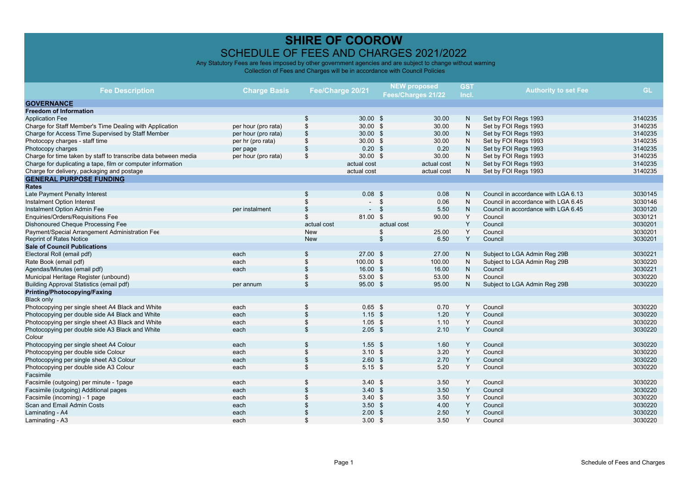|                                                                 |                     |                  |                   |                    | <b>NEW proposed</b> | <b>GST</b>   |                                     |           |
|-----------------------------------------------------------------|---------------------|------------------|-------------------|--------------------|---------------------|--------------|-------------------------------------|-----------|
| <b>Fee Description</b>                                          | <b>Charge Basis</b> | Fee/Charge 20/21 |                   | Fees/Charges 21/22 |                     | Incl.        | <b>Authority to set Fee</b>         | <b>GL</b> |
| <b>GOVERNANCE</b>                                               |                     |                  |                   |                    |                     |              |                                     |           |
| <b>Freedom of Information</b>                                   |                     |                  |                   |                    |                     |              |                                     |           |
| <b>Application Fee</b>                                          |                     | \$               | 30.00 S           |                    | 30.00               | N            | Set by FOI Regs 1993                | 3140235   |
| Charge for Staff Member's Time Dealing with Application         | per hour (pro rata) | \$               | $30.00$ \$        |                    | 30.00               | N            | Set by FOI Regs 1993                | 3140235   |
| Charge for Access Time Supervised by Staff Member               | per hour (pro rata) |                  | 30.00 S           |                    | 30.00               | ${\sf N}$    | Set by FOI Regs 1993                | 3140235   |
| Photocopy charges - staff time                                  | per hr (pro rata)   | \$               | $30.00$ \$        |                    | 30.00               | N            | Set by FOI Regs 1993                | 3140235   |
| Photocopy charges                                               | per page            | \$               | $0.20$ \$         |                    | 0.20                | $\mathsf{N}$ | Set by FOI Regs 1993                | 3140235   |
| Charge for time taken by staff to transcribe data between media | per hour (pro rata) | \$               | $30.00$ \$        |                    | 30.00               | N            | Set by FOI Regs 1993                | 3140235   |
| Charge for duplicating a tape, film or computer information     |                     |                  | actual cost       |                    | actual cost         | ${\sf N}$    | Set by FOI Regs 1993                | 3140235   |
| Charge for delivery, packaging and postage                      |                     |                  | actual cost       |                    | actual cost         | N            | Set by FOI Regs 1993                | 3140235   |
| <b>GENERAL PURPOSE FUNDING</b>                                  |                     |                  |                   |                    |                     |              |                                     |           |
| <b>Rates</b>                                                    |                     |                  |                   |                    |                     |              |                                     |           |
| Late Payment Penalty Interest                                   |                     | \$               | $0.08$ \$         |                    | 0.08                | $\mathsf{N}$ | Council in accordance with LGA 6.13 | 3030145   |
| Instalment Option Interest                                      |                     |                  |                   | \$                 | 0.06                | N            | Council in accordance with LGA 6.45 | 3030146   |
| Instalment Option Admin Fee                                     | per instalment      |                  |                   | $\mathbf{s}$       | 5.50                | ${\sf N}$    | Council in accordance with LGA 6.45 | 3030120   |
| Enquiries/Orders/Requisitions Fee                               |                     | \$               | 81.00 \$          |                    | 90.00               | Y            | Council                             | 3030121   |
| Dishonoured Cheque Processing Fee                               |                     | actual cost      |                   | actual cost        |                     | Y            | Council                             | 3030201   |
| Payment/Special Arrangement Administration Fee                  |                     | New              |                   | \$                 | 25.00               | Y            | Council                             | 3030201   |
| <b>Reprint of Rates Notice</b>                                  |                     | <b>New</b>       |                   | \$                 | 6.50                | Y            | Council                             | 3030201   |
| <b>Sale of Council Publications</b>                             |                     |                  |                   |                    |                     |              |                                     |           |
| Electoral Roll (email pdf)                                      | each                | \$               | $27.00$ \$        |                    | 27.00               | N            | Subject to LGA Admin Reg 29B        | 3030221   |
| Rate Book (email pdf)                                           | each                | \$               | 100.00 \$         |                    | 100.00              | N            | Subject to LGA Admin Reg 29B        | 3030220   |
| Agendas/Minutes (email pdf)                                     | each                | \$               | 16.00 S           |                    | 16.00               | $\mathsf{N}$ | Council                             | 3030221   |
| Municipal Heritage Register (unbound)                           |                     | \$               | 53.00 \$          |                    | 53.00               | N            | Council                             | 3030220   |
| Building Approval Statistics (email pdf)                        | per annum           | \$               | 95.00 \$          |                    | 95.00               | $\mathsf{N}$ | Subject to LGA Admin Reg 29B        | 3030220   |
| Printing/Photocopying/Faxing                                    |                     |                  |                   |                    |                     |              |                                     |           |
| <b>Black only</b>                                               |                     |                  |                   |                    |                     |              |                                     |           |
| Photocopying per single sheet A4 Black and White                | each                | \$               | $0.65$ \$         |                    | 0.70                | Y            | Council                             | 3030220   |
| Photocopying per double side A4 Black and White                 | each                | \$               | $1.15$ \$         |                    | 1.20                | Y            | Council                             | 3030220   |
| Photocopying per single sheet A3 Black and White                | each                |                  | $1.05$ \$         |                    | 1.10                | Y            | Council                             | 3030220   |
| Photocopying per double side A3 Black and White                 | each                | \$               | $2.05$ \$         |                    | 2.10                | Y            | Council                             | 3030220   |
| Colour                                                          |                     |                  |                   |                    |                     |              |                                     |           |
| Photocopying per single sheet A4 Colour                         | each                |                  | $1.55$ \$         |                    | 1.60                | Y            | Council                             | 3030220   |
| Photocopying per double side Colour                             | each                | \$               | 3.10 <sup>5</sup> |                    | 3.20                | Y            | Council                             | 3030220   |
| Photocopying per single sheet A3 Colour                         | each                | \$               | $2.60$ \$         |                    | 2.70                | Υ            | Council                             | 3030220   |
| Photocopying per double side A3 Colour                          | each                | \$               | $5.15$ \$         |                    | 5.20                | Y            | Council                             | 3030220   |
| Facsimile                                                       |                     |                  |                   |                    |                     |              |                                     |           |
| Facsimile (outgoing) per minute - 1page                         | each                | \$               | 3.40 <sup>5</sup> |                    | 3.50                | Y            | Council                             | 3030220   |
| Facsimile (outgoing) Additional pages                           | each                |                  | 3.40 <sup>5</sup> |                    | 3.50                | Y            | Council                             | 3030220   |
| Facsimile (incoming) - 1 page                                   | each                |                  | $3.40 \text{ } $$ |                    | 3.50                | Y            | Council                             | 3030220   |
| Scan and Email Admin Costs                                      | each                |                  | 3.50              | <b>S</b>           | 4.00                | Y            | Council                             | 3030220   |
| Laminating - A4                                                 | each                |                  | 2.00              | $\mathfrak{S}$     | 2.50                | Y            | Council                             | 3030220   |
| Laminating - A3                                                 | each                |                  | $3.00$ \$         |                    | 3.50                | Y            | Council                             | 3030220   |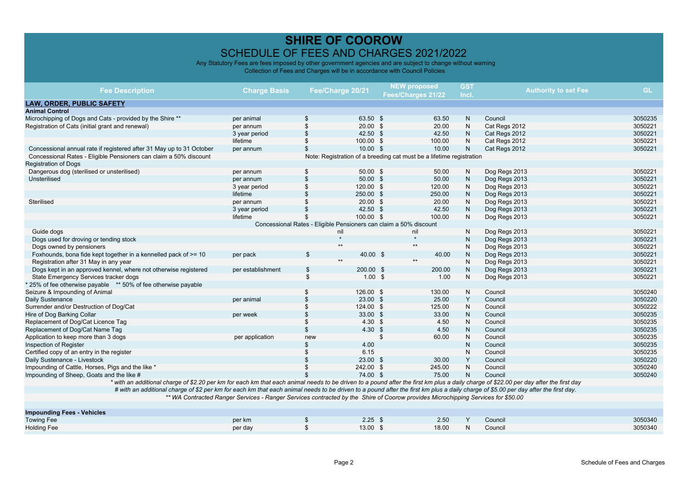| <b>Fee Description</b>                                                                                                                                                                | <b>Charge Basis</b>                                                                                                              |                           | Fee/Charge 20/21                                                     |               | <b>NEW proposed</b> | <b>GST</b>   | <b>Authority to set Fee</b> | <b>GL</b>          |
|---------------------------------------------------------------------------------------------------------------------------------------------------------------------------------------|----------------------------------------------------------------------------------------------------------------------------------|---------------------------|----------------------------------------------------------------------|---------------|---------------------|--------------|-----------------------------|--------------------|
|                                                                                                                                                                                       |                                                                                                                                  |                           |                                                                      |               | Fees/Charges 21/22  | Incl.        |                             |                    |
| <b>LAW, ORDER, PUBLIC SAFETY</b>                                                                                                                                                      |                                                                                                                                  |                           |                                                                      |               |                     |              |                             |                    |
| <b>Animal Control</b>                                                                                                                                                                 |                                                                                                                                  |                           |                                                                      |               |                     |              |                             |                    |
| Microchipping of Dogs and Cats - provided by the Shire **                                                                                                                             | per animal                                                                                                                       | \$                        | 63.50 \$                                                             |               | 63.50               | N            | Council                     | 3050235            |
| Registration of Cats (initial grant and renewal)                                                                                                                                      | per annum                                                                                                                        | \$                        | 20.00 S                                                              |               | 20.00               | $\mathsf{N}$ | Cat Regs 2012               | 3050221            |
|                                                                                                                                                                                       | 3 year period                                                                                                                    |                           | 42.50 \$                                                             |               | 42.50               | $\mathsf{N}$ | Cat Regs 2012               | 3050221            |
|                                                                                                                                                                                       | lifetime                                                                                                                         | \$                        | 100.00 \$                                                            |               | 100.00              | $\mathsf{N}$ | Cat Regs 2012               | 3050221            |
| Concessional annual rate if registered after 31 May up to 31 October                                                                                                                  | per annum                                                                                                                        | \$                        | $10.00$ \$                                                           |               | 10.00               | $\mathsf{N}$ | Cat Regs 2012               | 3050221            |
| Concessional Rates - Eligible Pensioners can claim a 50% discount                                                                                                                     |                                                                                                                                  |                           | Note: Registration of a breeding cat must be a lifetime registration |               |                     |              |                             |                    |
| <b>Registration of Dogs</b>                                                                                                                                                           |                                                                                                                                  |                           |                                                                      |               |                     |              |                             |                    |
| Dangerous dog (sterilised or unsterilised)                                                                                                                                            | per annum                                                                                                                        | \$                        | $50.00$ \$                                                           |               | 50.00               | N            | Dog Regs 2013               | 3050221            |
| Unsterilised                                                                                                                                                                          | per annum                                                                                                                        | S                         | $50.00$ \$                                                           |               | 50.00               | $\mathsf{N}$ | Dog Regs 2013               | 3050221            |
|                                                                                                                                                                                       | 3 year period                                                                                                                    | \$                        | 120.00 \$                                                            |               | 120.00              | N            | Dog Regs 2013               | 3050221            |
|                                                                                                                                                                                       | lifetime                                                                                                                         |                           | 250.00 \$                                                            |               | 250.00              | $\mathsf{N}$ | Dog Regs 2013               | 3050221            |
| Sterilised                                                                                                                                                                            | per annum                                                                                                                        |                           | $20.00$ \$                                                           |               | 20.00               | $\mathsf{N}$ | Dog Regs 2013               | 3050221            |
|                                                                                                                                                                                       | 3 year period                                                                                                                    |                           | 42.50 \$                                                             |               | 42.50               | $\mathsf{N}$ | Dog Regs 2013               | 3050221            |
|                                                                                                                                                                                       | lifetime                                                                                                                         | \$                        | 100.00 \$                                                            |               | 100.00              | N            | Dog Regs 2013               | 3050221            |
|                                                                                                                                                                                       |                                                                                                                                  |                           | Concessional Rates - Eligible Pensioners can claim a 50% discount    |               |                     |              |                             |                    |
| Guide dogs                                                                                                                                                                            |                                                                                                                                  |                           | nil                                                                  |               | nil<br>$\star$      | N            | Dog Regs 2013               | 3050221            |
| Dogs used for droving or tending stock                                                                                                                                                |                                                                                                                                  |                           | $^{\star\star}$                                                      |               | $***$               | $\mathsf{N}$ | Dog Regs 2013               | 3050221            |
| Dogs owned by pensioners                                                                                                                                                              |                                                                                                                                  |                           |                                                                      |               |                     | N            | Dog Regs 2013               | 3050221            |
| Foxhounds, bona fide kept together in a kennelled pack of >= 10                                                                                                                       | per pack                                                                                                                         | \$                        | 40.00 \$<br>$**$                                                     |               | 40.00<br>$***$      | N            | Dog Regs 2013               | 3050221            |
| Registration after 31 May in any year                                                                                                                                                 |                                                                                                                                  |                           |                                                                      |               |                     | $\mathsf{N}$ | Dog Regs 2013               | 3050221<br>3050221 |
| Dogs kept in an approved kennel, where not otherwise registered                                                                                                                       | per establishment                                                                                                                | $\mathfrak{S}$            | 200.00 \$<br>$1.00$ \$                                               |               | 200.00              | N            | Dog Regs 2013               | 3050221            |
| State Emergency Services tracker dogs                                                                                                                                                 |                                                                                                                                  | \$                        |                                                                      |               | 1.00                | $\mathsf{N}$ | Dog Regs 2013               |                    |
| 25% of fee otherwise payable ** 50% of fee otherwise payable                                                                                                                          |                                                                                                                                  | \$                        | 126.00 \$                                                            |               | 130.00              | N            | Council                     | 3050240            |
| Seizure & Impounding of Animal<br>Daily Sustenance                                                                                                                                    | per animal                                                                                                                       | \$                        | $23.00$ \$                                                           |               | 25.00               | Y            | Council                     | 3050220            |
| Surrender and/or Destruction of Dog/Cat                                                                                                                                               |                                                                                                                                  |                           | 124.00 \$                                                            |               | 125.00              | $\mathsf{N}$ | Council                     | 3050222            |
| Hire of Dog Barking Collar                                                                                                                                                            | per week                                                                                                                         |                           | 33.00 \$                                                             |               | 33.00               | ${\sf N}$    | Council                     | 3050235            |
| Replacement of Dog/Cat Licence Tag                                                                                                                                                    |                                                                                                                                  |                           | 4.30 <sup>5</sup>                                                    |               | 4.50                | $\mathsf{N}$ | Council                     | 3050235            |
| Replacement of Dog/Cat Name Tag                                                                                                                                                       |                                                                                                                                  | $\mathbf S$               | 4.30                                                                 | $\sqrt[6]{3}$ | 4.50                | $\mathsf{N}$ | Council                     | 3050235            |
| Application to keep more than 3 dogs                                                                                                                                                  | per application                                                                                                                  | new                       |                                                                      | \$            | 60.00               | $\mathsf{N}$ | Council                     | 3050235            |
| Inspection of Register                                                                                                                                                                |                                                                                                                                  |                           | 4.00                                                                 |               |                     | $\mathsf{N}$ | Council                     | 3050235            |
| Certified copy of an entry in the register                                                                                                                                            |                                                                                                                                  |                           | 6.15                                                                 |               |                     | $\mathsf{N}$ | Council                     | 3050235            |
| Daily Sustenance - Livestock                                                                                                                                                          |                                                                                                                                  |                           | $23.00$ \$                                                           |               | 30.00               | Y            | Council                     | 3050220            |
| Impounding of Cattle, Horses, Pigs and the like *                                                                                                                                     |                                                                                                                                  |                           | 242.00 \$                                                            |               | 245.00              | $\mathsf{N}$ | Council                     | 3050240            |
| Impounding of Sheep, Goats and the like #                                                                                                                                             |                                                                                                                                  |                           | 74.00 \$                                                             |               | 75.00               | $\mathsf{N}$ | Council                     | 3050240            |
| * with an additional charge of \$2.20 per km for each km that each animal needs to be driven to a pound after the first km plus a daily charge of \$22.00 per day after the first day |                                                                                                                                  |                           |                                                                      |               |                     |              |                             |                    |
| # with an additional charge of \$2 per km for each km that each animal needs to be driven to a pound after the first km plus a daily charge of \$5.00 per day after the first day.    |                                                                                                                                  |                           |                                                                      |               |                     |              |                             |                    |
|                                                                                                                                                                                       | ** WA Contracted Ranger Services - Ranger Services contracted by the Shire of Coorow provides Microchipping Services for \$50.00 |                           |                                                                      |               |                     |              |                             |                    |
|                                                                                                                                                                                       |                                                                                                                                  |                           |                                                                      |               |                     |              |                             |                    |
| <b>Impounding Fees - Vehicles</b>                                                                                                                                                     |                                                                                                                                  |                           |                                                                      |               |                     |              |                             |                    |
| <b>Towing Fee</b>                                                                                                                                                                     | per km                                                                                                                           | $\boldsymbol{\mathsf{s}}$ | $2.25$ \$                                                            |               | 2.50                | Y            | Council                     | 3050340            |
| <b>Holding Fee</b>                                                                                                                                                                    | per day                                                                                                                          | \$                        | 13.00 \$                                                             |               | 18.00               | N            | Council                     | 3050340            |
|                                                                                                                                                                                       |                                                                                                                                  |                           |                                                                      |               |                     |              |                             |                    |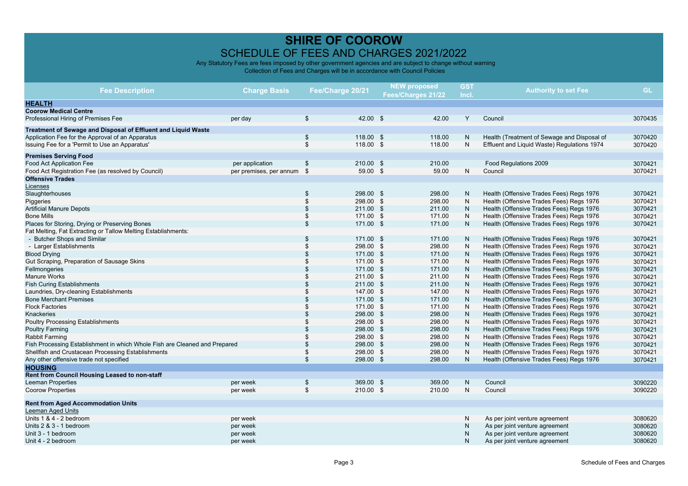| <b>Fee Description</b>                                                     | <b>Charge Basis</b>     | Fee/Charge 20/21 |           | <b>NEW proposed</b><br>Fees/Charges 21/22 |        | <b>GST</b><br>Incl. | <b>Authority to set Fee</b>                 | <b>GL</b> |
|----------------------------------------------------------------------------|-------------------------|------------------|-----------|-------------------------------------------|--------|---------------------|---------------------------------------------|-----------|
| <b>HEALTH</b>                                                              |                         |                  |           |                                           |        |                     |                                             |           |
| <b>Coorow Medical Centre</b>                                               |                         |                  |           |                                           |        |                     |                                             |           |
| Professional Hiring of Premises Fee                                        | per day                 | $\sqrt[6]{2}$    | 42.00 \$  |                                           | 42.00  | Y                   | Council                                     | 3070435   |
| Treatment of Sewage and Disposal of Effluent and Liquid Waste              |                         |                  |           |                                           |        |                     |                                             |           |
| Application Fee for the Approval of an Apparatus                           |                         | \$               | 118.00 \$ |                                           | 118.00 | N                   | Health (Treatment of Sewage and Disposal of | 3070420   |
| Issuing Fee for a 'Permit to Use an Apparatus'                             |                         | $\mathfrak{L}$   | 118.00 \$ |                                           | 118.00 | N                   | Effluent and Liquid Waste) Regulations 1974 | 3070420   |
| <b>Premises Serving Food</b>                                               |                         |                  |           |                                           |        |                     |                                             |           |
| <b>Food Act Application Fee</b>                                            | per application         | \$               | 210.00 \$ |                                           | 210.00 |                     | Food Regulations 2009                       | 3070421   |
| Food Act Registration Fee (as resolved by Council)                         | per premises, per annum | \$               | 59.00 \$  |                                           | 59.00  | N                   | Council                                     | 3070421   |
| <b>Offensive Trades</b>                                                    |                         |                  |           |                                           |        |                     |                                             |           |
| Licenses                                                                   |                         |                  |           |                                           |        |                     |                                             |           |
| Slaughterhouses                                                            |                         | \$               | 298.00 \$ |                                           | 298.00 | N                   | Health (Offensive Trades Fees) Regs 1976    | 3070421   |
| Piggeries                                                                  |                         | <sup>\$</sup>    | 298.00 \$ |                                           | 298.00 | N                   | Health (Offensive Trades Fees) Regs 1976    | 3070421   |
| <b>Artificial Manure Depots</b>                                            |                         | $\mathfrak{L}$   | 211.00 \$ |                                           | 211.00 | $\mathsf{N}$        | Health (Offensive Trades Fees) Regs 1976    | 3070421   |
| <b>Bone Mills</b>                                                          |                         | \$               | 171.00 \$ |                                           | 171.00 | ${\sf N}$           | Health (Offensive Trades Fees) Regs 1976    | 3070421   |
| Places for Storing, Drying or Preserving Bones                             |                         | $\mathbf{s}$     | 171.00 \$ |                                           | 171.00 | N                   | Health (Offensive Trades Fees) Regs 1976    | 3070421   |
| Fat Melting, Fat Extracting or Tallow Melting Establishments:              |                         |                  |           |                                           |        |                     |                                             |           |
| - Butcher Shops and Similar                                                |                         | \$               | 171.00 \$ |                                           | 171.00 | N                   | Health (Offensive Trades Fees) Regs 1976    | 3070421   |
| - Larger Establishments                                                    |                         | <sup>\$</sup>    | 298.00 \$ |                                           | 298.00 | N                   | Health (Offensive Trades Fees) Regs 1976    | 3070421   |
| <b>Blood Drying</b>                                                        |                         |                  | 171.00    | \$                                        | 171.00 | $\mathsf{N}$        | Health (Offensive Trades Fees) Regs 1976    | 3070421   |
| Gut Scraping, Preparation of Sausage Skins                                 |                         |                  | 171.00 \$ |                                           | 171.00 | ${\sf N}$           | Health (Offensive Trades Fees) Regs 1976    | 3070421   |
| Fellmongeries                                                              |                         |                  | 171.00 \$ |                                           | 171.00 | $\mathsf{N}$        | Health (Offensive Trades Fees) Regs 1976    | 3070421   |
| Manure Works                                                               |                         |                  | 211.00 \$ |                                           | 211.00 | ${\sf N}$           | Health (Offensive Trades Fees) Regs 1976    | 3070421   |
| <b>Fish Curing Establishments</b>                                          |                         |                  | 211.00 \$ |                                           | 211.00 | $\mathsf{N}$        | Health (Offensive Trades Fees) Regs 1976    | 3070421   |
| Laundries, Dry-cleaning Establishments                                     |                         |                  | 147.00 \$ |                                           | 147.00 | ${\sf N}$           | Health (Offensive Trades Fees) Regs 1976    | 3070421   |
| <b>Bone Merchant Premises</b>                                              |                         |                  | 171.00 \$ |                                           | 171.00 | $\mathsf{N}$        | Health (Offensive Trades Fees) Regs 1976    | 3070421   |
| <b>Flock Factories</b>                                                     |                         |                  | 171.00 \$ |                                           | 171.00 | N                   | Health (Offensive Trades Fees) Regs 1976    | 3070421   |
| Knackeries                                                                 |                         |                  | 298.00 \$ |                                           | 298.00 | ${\sf N}$           | Health (Offensive Trades Fees) Regs 1976    | 3070421   |
| <b>Poultry Processing Establishments</b>                                   |                         |                  | 298.00 \$ |                                           | 298.00 | N                   | Health (Offensive Trades Fees) Regs 1976    | 3070421   |
| <b>Poultry Farming</b>                                                     |                         |                  | 298.00 \$ |                                           | 298.00 | ${\sf N}$           | Health (Offensive Trades Fees) Regs 1976    | 3070421   |
| Rabbit Farming                                                             |                         |                  | 298.00 \$ |                                           | 298.00 | N                   | Health (Offensive Trades Fees) Regs 1976    | 3070421   |
| Fish Processing Establishment in which Whole Fish are Cleaned and Prepared |                         |                  | 298.00 \$ |                                           | 298.00 | ${\sf N}$           | Health (Offensive Trades Fees) Regs 1976    | 3070421   |
| Shellfish and Crustacean Processing Establishments                         |                         |                  | 298.00 \$ |                                           | 298.00 | ${\sf N}$           | Health (Offensive Trades Fees) Regs 1976    | 3070421   |
| Any other offensive trade not specified                                    |                         | $\mathbf{s}$     | 298.00 \$ |                                           | 298.00 | N                   | Health (Offensive Trades Fees) Regs 1976    | 3070421   |
| <b>HOUSING</b>                                                             |                         |                  |           |                                           |        |                     |                                             |           |
| Rent from Council Housing Leased to non-staff                              |                         |                  |           |                                           |        |                     |                                             |           |
| <b>Leeman Properties</b>                                                   | per week                | $\mathbf S$      | 369.00 \$ |                                           | 369.00 | N                   | Council                                     | 3090220   |
| <b>Coorow Properties</b>                                                   | per week                | \$               | 210.00 \$ |                                           | 210.00 | N                   | Council                                     | 3090220   |
| <b>Rent from Aged Accommodation Units</b>                                  |                         |                  |           |                                           |        |                     |                                             |           |
| Leeman Aged Units                                                          |                         |                  |           |                                           |        |                     |                                             |           |
| Units 1 & 4 - 2 bedroom                                                    | per week                |                  |           |                                           |        | N                   | As per joint venture agreement              | 3080620   |
| Units 2 & 3 - 1 bedroom                                                    | per week                |                  |           |                                           |        | N                   | As per joint venture agreement              | 3080620   |
| Unit 3 - 1 bedroom                                                         | per week                |                  |           |                                           |        | N                   | As per joint venture agreement              | 3080620   |
| Unit 4 - 2 bedroom                                                         | per week                |                  |           |                                           |        | N                   | As per joint venture agreement              | 3080620   |
|                                                                            |                         |                  |           |                                           |        |                     |                                             |           |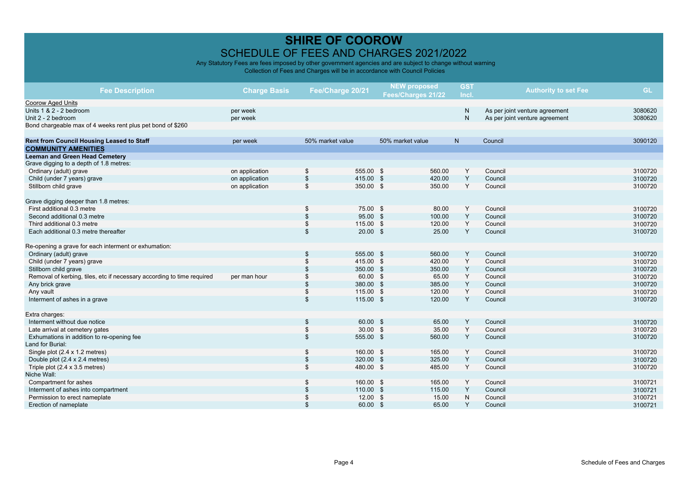| <b>Fee Description</b>                                                 | <b>Charge Basis</b>  | Fee/Charge 20/21                | <b>NEW proposed</b><br>Fees/Charges 21/22 | <b>GST</b><br>Incl. | <b>Authority to set Fee</b>    | <b>GL</b>          |
|------------------------------------------------------------------------|----------------------|---------------------------------|-------------------------------------------|---------------------|--------------------------------|--------------------|
| Coorow Aged Units<br>Units 1 & 2 - 2 bedroom                           |                      |                                 |                                           | $\mathsf{N}$        |                                |                    |
| Unit 2 - 2 bedroom                                                     | per week<br>per week |                                 |                                           | N                   | As per joint venture agreement | 3080620<br>3080620 |
| Bond chargeable max of 4 weeks rent plus pet bond of \$260             |                      |                                 |                                           |                     | As per joint venture agreement |                    |
|                                                                        |                      |                                 |                                           |                     |                                |                    |
| Rent from Council Housing Leased to Staff                              | per week             | 50% market value                | 50% market value                          | N                   | Council                        | 3090120            |
| <b>COMMUNITY AMENITIES</b>                                             |                      |                                 |                                           |                     |                                |                    |
| <b>Leeman and Green Head Cemetery</b>                                  |                      |                                 |                                           |                     |                                |                    |
| Grave digging to a depth of 1.8 metres:                                |                      |                                 |                                           |                     |                                |                    |
| Ordinary (adult) grave                                                 | on application       | \$<br>555.00 \$                 | 560.00                                    | Y                   | Council                        | 3100720            |
| Child (under 7 years) grave                                            | on application       | $\mathfrak{S}$<br>415.00 \$     | 420.00                                    | Y                   | Council                        | 3100720            |
| Stillborn child grave                                                  | on application       | \$<br>350.00 \$                 | 350.00                                    | Y                   | Council                        | 3100720            |
|                                                                        |                      |                                 |                                           |                     |                                |                    |
| Grave digging deeper than 1.8 metres:                                  |                      |                                 |                                           |                     |                                |                    |
| First additional 0.3 metre                                             |                      | \$<br>75.00 \$                  | 80.00                                     | Y                   | Council                        | 3100720            |
| Second additional 0.3 metre                                            |                      | \$<br>95.00 \$                  | 100.00                                    | Y                   | Council                        | 3100720            |
| Third additional 0.3 metre                                             |                      | 115.00 \$<br>\$                 | 120.00                                    | Y                   | Council                        | 3100720            |
| Each additional 0.3 metre thereafter                                   |                      | 20.00 S<br>\$                   | 25.00                                     | Y                   | Council                        | 3100720            |
| Re-opening a grave for each interment or exhumation:                   |                      |                                 |                                           |                     |                                |                    |
| Ordinary (adult) grave                                                 |                      | 555.00 \$<br>\$                 | 560.00                                    | Y                   | Council                        | 3100720            |
| Child (under 7 years) grave                                            |                      | 415.00 \$<br>$\mathbf{\hat{s}}$ | 420.00                                    | Υ                   | Council                        | 3100720            |
| Stillborn child grave                                                  |                      | 350.00 \$                       | 350.00                                    | Y                   | Council                        | 3100720            |
| Removal of kerbing, tiles, etc if necessary according to time required | per man hour         | 60.00 \$                        | 65.00                                     | Y                   | Council                        | 3100720            |
| Any brick grave                                                        |                      | 380.00 \$<br>\$                 | 385.00                                    | Y                   | Council                        | 3100720            |
| Any vault                                                              |                      | 115.00 \$<br>\$                 | 120.00                                    | Y                   | Council                        | 3100720            |
| Interment of ashes in a grave                                          |                      | $\mathfrak{S}$<br>115.00 \$     | 120.00                                    | Y                   | Council                        | 3100720            |
| Extra charges:                                                         |                      |                                 |                                           |                     |                                |                    |
| Interment without due notice                                           |                      | 60.00 \$<br>\$                  | 65.00                                     | Y                   | Council                        | 3100720            |
| Late arrival at cemetery gates                                         |                      | \$<br>$30.00$ \$                | 35.00                                     | Y                   | Council                        | 3100720            |
| Exhumations in addition to re-opening fee                              |                      | $\mathfrak{S}$<br>555.00 \$     | 560.00                                    | Y                   | Council                        | 3100720            |
| Land for Burial:                                                       |                      |                                 |                                           |                     |                                |                    |
| Single plot (2.4 x 1.2 metres)                                         |                      | \$<br>160.00 \$                 | 165.00                                    | Y                   | Council                        | 3100720            |
| Double plot (2.4 x 2.4 metres)                                         |                      | \$<br>320.00 \$                 | 325.00                                    | Y                   | Council                        | 3100720            |
| Triple plot $(2.4 \times 3.5 \text{ metres})$                          |                      | \$<br>480.00 \$                 | 485.00                                    | Υ                   | Council                        | 3100720            |
| Niche Wall:                                                            |                      |                                 |                                           |                     |                                |                    |
| Compartment for ashes                                                  |                      | \$<br>160.00 \$                 | 165.00                                    | Y                   | Council                        | 3100721            |
| Interment of ashes into compartment                                    |                      | 110.00 \$                       | 115.00                                    | Y                   | Council                        | 3100721            |
| Permission to erect nameplate                                          |                      | $12.00$ \$                      | 15.00                                     | ${\sf N}$           | Council                        | 3100721            |
| Erection of nameplate                                                  |                      | $\mathfrak{L}$<br>60.00 \$      | 65.00                                     | Y                   | Council                        | 3100721            |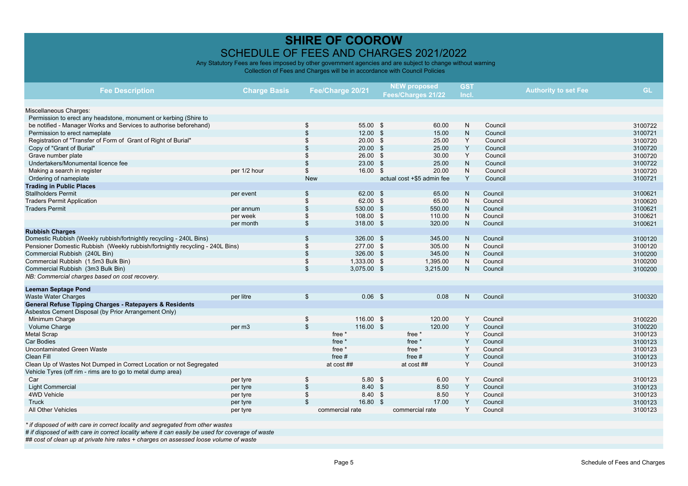Any Statutory Fees are fees imposed by other government agencies and are subject to change without warning Collection of Fees and Charges will be in accordance with Council Policies

| <b>Fee Description</b>                                                        | Fee/Charge 20/21<br><b>Charge Basis</b> |            |                   | <b>NEW proposed</b>        | <b>GST</b>     |         | <b>Authority to set Fee</b> | <b>GL</b> |
|-------------------------------------------------------------------------------|-----------------------------------------|------------|-------------------|----------------------------|----------------|---------|-----------------------------|-----------|
|                                                                               |                                         |            |                   | Fees/Charges 21/22         | Incl.          |         |                             |           |
|                                                                               |                                         |            |                   |                            |                |         |                             |           |
| Miscellaneous Charges:                                                        |                                         |            |                   |                            |                |         |                             |           |
| Permission to erect any headstone, monument or kerbing (Shire to              |                                         |            |                   |                            |                |         |                             |           |
| be notified - Manager Works and Services to authorise beforehand)             |                                         | \$         | 55.00 \$          | 60.00                      | N              | Council |                             | 3100722   |
| Permission to erect nameplate                                                 |                                         |            | $12.00$ \$        | 15.00                      | $\mathsf{N}$   | Council |                             | 3100721   |
| Registration of "Transfer of Form of Grant of Right of Burial"                |                                         |            | $20.00$ \$        | 25.00                      | Υ              | Council |                             | 3100720   |
| Copy of "Grant of Burial"                                                     |                                         |            | $20.00$ \$        | 25.00                      | Υ              | Council |                             | 3100720   |
| Grave number plate                                                            |                                         |            | $26.00$ \$        | 30.00                      | Y              | Council |                             | 3100720   |
| Undertakers/Monumental licence fee                                            |                                         |            | $23.00$ \$        | 25.00                      | N              | Council |                             | 3100722   |
| Making a search in register                                                   | per 1/2 hour                            | \$         | 16.00 \$          | 20.00                      | ${\sf N}$      | Council |                             | 3100720   |
| Ordering of nameplate                                                         |                                         | <b>New</b> |                   | actual cost +\$5 admin fee | Y              | Council |                             | 3100721   |
| <b>Trading in Public Places</b>                                               |                                         |            |                   |                            |                |         |                             |           |
| <b>Stallholders Permit</b>                                                    | per event                               | \$         | 62.00 \$          | 65.00                      | N              | Council |                             | 3100621   |
| <b>Traders Permit Application</b>                                             |                                         | \$         | 62.00 \$          | 65.00                      | N              | Council |                             | 3100620   |
| <b>Traders Permit</b>                                                         | per annum                               | \$         | 530.00 \$         | 550.00                     | N              | Council |                             | 3100621   |
|                                                                               | per week                                | \$         | 108.00 \$         | 110.00                     | N              | Council |                             | 3100621   |
|                                                                               | per month                               | \$         | 318.00 \$         | 320.00                     | N              | Council |                             | 3100621   |
| <b>Rubbish Charges</b>                                                        |                                         |            |                   |                            |                |         |                             |           |
| Domestic Rubbish (Weekly rubbish/fortnightly recycling - 240L Bins)           |                                         | \$         | 326.00 \$         | 345.00                     | N              | Council |                             | 3100120   |
| Pensioner Domestic Rubbish (Weekly rubbish/fortnightly recycling - 240L Bins) |                                         | \$         | 277.00 \$         | 305.00                     | N              | Council |                             | 3100120   |
| Commercial Rubbish (240L Bin)                                                 |                                         | \$         | 326.00 \$         | 345.00                     | N.             | Council |                             | 3100200   |
| Commercial Rubbish (1.5m3 Bulk Bin)                                           |                                         | \$         | 1,333.00 \$       | 1,395.00                   | N              | Council |                             | 3100200   |
| Commercial Rubbish (3m3 Bulk Bin)                                             |                                         | \$         | 3,075.00 \$       | 3,215.00                   | N              | Council |                             | 3100200   |
| NB: Commercial charges based on cost recovery.                                |                                         |            |                   |                            |                |         |                             |           |
| <b>Leeman Septage Pond</b>                                                    |                                         |            |                   |                            |                |         |                             |           |
| <b>Waste Water Charges</b>                                                    | per litre                               | \$         | 0.06 <sup>5</sup> | 0.08                       | N <sub>1</sub> | Council |                             | 3100320   |
| General Refuse Tipping Charges - Ratepayers & Residents                       |                                         |            |                   |                            |                |         |                             |           |
| Asbestos Cement Disposal (by Prior Arrangement Only)                          |                                         |            |                   |                            |                |         |                             |           |
| Minimum Charge                                                                |                                         | \$         | 116.00 \$         | 120.00                     | Y              | Council |                             | 3100220   |
| Volume Charge                                                                 | per m <sub>3</sub>                      | \$         | 116.00 \$         | 120.00                     | Y              | Council |                             | 3100220   |
| <b>Metal Scrap</b>                                                            |                                         |            | free *            | free *                     | Y              | Council |                             | 3100123   |
| Car Bodies                                                                    |                                         |            | free *            | free *                     | Y              | Council |                             | 3100123   |
| Uncontaminated Green Waste                                                    |                                         |            | free *            | free *                     | Y              | Council |                             | 3100123   |
| Clean Fill                                                                    |                                         |            | free $#$          | free $#$                   | Y              | Council |                             | 3100123   |
| Clean Up of Wastes Not Dumped in Correct Location or not Segregated           |                                         |            | at cost ##        | at cost ##                 | Y              | Council |                             | 3100123   |
| Vehicle Tyres (off rim - rims are to go to metal dump area)                   |                                         |            |                   |                            |                |         |                             |           |
| Car                                                                           | per tyre                                | \$         | $5.80$ \$         | 6.00                       | Y              | Council |                             | 3100123   |
| <b>Light Commercial</b>                                                       | per tyre                                | \$         | 8.40 \$           | 8.50                       | Y              | Council |                             | 3100123   |
| 4WD Vehicle                                                                   | per tyre                                |            | 8.40 \$           | 8.50                       | Y              | Council |                             | 3100123   |
| Truck                                                                         | per tyre                                | \$         | 16.80 \$          | 17.00                      | Y              | Council |                             | 3100123   |
| All Other Vehicles                                                            | per tyre                                |            | commercial rate   | commercial rate            | Y              | Council |                             | 3100123   |
|                                                                               |                                         |            |                   |                            |                |         |                             |           |

*\* if disposed of with care in correct locality and segregated from other wastes*

*# if disposed of with care in correct locality where it can easily be used for coverage of waste*

*## cost of clean up at private hire rates + charges on assessed loose volume of waste*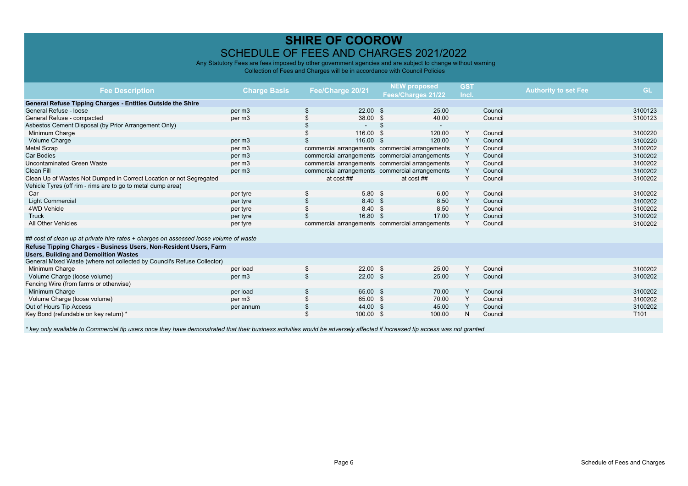Any Statutory Fees are fees imposed by other government agencies and are subject to change without warning Collection of Fees and Charges will be in accordance with Council Policies

| <b>Fee Description</b>                                                                | <b>Charge Basis</b> | Fee/Charge 20/21 |               | <b>NEW proposed</b><br>Fees/Charges 21/22       | <b>GST</b><br>Incl. |         | <b>Authority to set Fee</b> | <b>GL</b>        |
|---------------------------------------------------------------------------------------|---------------------|------------------|---------------|-------------------------------------------------|---------------------|---------|-----------------------------|------------------|
| General Refuse Tipping Charges - Entities Outside the Shire                           |                     |                  |               |                                                 |                     |         |                             |                  |
| General Refuse - loose                                                                | per m <sub>3</sub>  |                  | $22.00$ \$    | 25.00                                           |                     | Council |                             | 3100123          |
| General Refuse - compacted                                                            | per m3              |                  | 38.00<br>- \$ | 40.00                                           |                     | Council |                             | 3100123          |
| Asbestos Cement Disposal (by Prior Arrangement Only)                                  |                     |                  | \$            | $\sim$                                          |                     |         |                             |                  |
| Minimum Charge                                                                        |                     |                  | 116.00 \$     | 120.00                                          | Y                   | Council |                             | 3100220          |
| Volume Charge                                                                         | per m <sub>3</sub>  |                  | 116.00 \$     | 120.00                                          | Y                   | Council |                             | 3100220          |
| <b>Metal Scrap</b>                                                                    | per m3              |                  |               | commercial arrangements commercial arrangements | Y                   | Council |                             | 3100202          |
| <b>Car Bodies</b>                                                                     | per m3              |                  |               | commercial arrangements commercial arrangements | Y                   | Council |                             | 3100202          |
| Uncontaminated Green Waste                                                            | per m3              |                  |               | commercial arrangements commercial arrangements | Y                   | Council |                             | 3100202          |
| Clean Fill                                                                            | per m3              |                  |               | commercial arrangements commercial arrangements | Y                   | Council |                             | 3100202          |
| Clean Up of Wastes Not Dumped in Correct Location or not Segregated                   |                     | at cost ##       |               | at cost ##                                      | Y                   | Council |                             | 3100202          |
| Vehicle Tyres (off rim - rims are to go to metal dump area)                           |                     |                  |               |                                                 |                     |         |                             |                  |
| Car                                                                                   | per tyre            |                  | $5.80$ \$     | 6.00                                            | Y                   | Council |                             | 3100202          |
| <b>Light Commercial</b>                                                               | per tyre            |                  | 8.40<br>- \$  | 8.50                                            | Υ                   | Council |                             | 3100202          |
| 4WD Vehicle                                                                           | per tyre            |                  | 8.40<br>- \$  | 8.50                                            | Y                   | Council |                             | 3100202          |
| Truck                                                                                 | per tyre            |                  | 16.80 \$      | 17.00                                           | Y                   | Council |                             | 3100202          |
| All Other Vehicles                                                                    | per tyre            |                  |               | commercial arrangements commercial arrangements | Y                   | Council |                             | 3100202          |
| ## cost of clean up at private hire rates + charges on assessed loose volume of waste |                     |                  |               |                                                 |                     |         |                             |                  |
| Refuse Tipping Charges - Business Users, Non-Resident Users, Farm                     |                     |                  |               |                                                 |                     |         |                             |                  |
| <b>Users, Building and Demolition Wastes</b>                                          |                     |                  |               |                                                 |                     |         |                             |                  |
| General Mixed Waste (where not collected by Council's Refuse Collector)               |                     |                  |               |                                                 |                     |         |                             |                  |
| Minimum Charge                                                                        | per load            | \$               | $22.00$ \$    | 25.00                                           | Y                   | Council |                             | 3100202          |
| Volume Charge (loose volume)                                                          | per m3              |                  | $22.00$ \$    | 25.00                                           | Y                   | Council |                             | 3100202          |
| Fencing Wire (from farms or otherwise)                                                |                     |                  |               |                                                 |                     |         |                             |                  |
| Minimum Charge                                                                        | per load            |                  | 65.00 \$      | 70.00                                           | Y                   | Council |                             | 3100202          |
| Volume Charge (loose volume)                                                          | per m3              |                  | 65.00 \$      | 70.00                                           | Y                   | Council |                             | 3100202          |
| Out of Hours Tip Access                                                               | per annum           |                  | 44.00<br>- \$ | 45.00                                           | Y                   | Council |                             | 3100202          |
| Key Bond (refundable on key return) *                                                 |                     |                  | 100.00 \$     | 100.00                                          | N                   | Council |                             | T <sub>101</sub> |
|                                                                                       |                     |                  |               |                                                 |                     |         |                             |                  |

*\* key only available to Commercial tip users once they have demonstrated that their business activities would be adversely affected if increased tip access was not granted*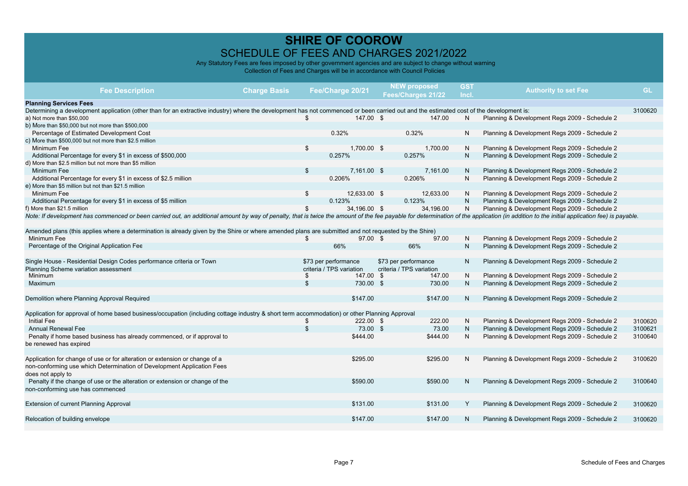| <b>Fee Description</b>                                                                                                                                                                                                        | <b>Charge Basis</b> |                | Fee/Charge 20/21         | <b>NEW proposed</b><br>Fees/Charges 21/22 | <b>GST</b><br>Incl. | <b>Authority to set Fee</b>                   | GL      |
|-------------------------------------------------------------------------------------------------------------------------------------------------------------------------------------------------------------------------------|---------------------|----------------|--------------------------|-------------------------------------------|---------------------|-----------------------------------------------|---------|
| <b>Planning Services Fees</b>                                                                                                                                                                                                 |                     |                |                          |                                           |                     |                                               |         |
| Determining a development application (other than for an extractive industry) where the development has not commenced or been carried out and the estimated cost of the development is:                                       |                     |                |                          |                                           |                     |                                               | 3100620 |
| a) Not more than \$50,000                                                                                                                                                                                                     |                     | \$             | 147.00 \$                | 147.00                                    | N                   | Planning & Development Regs 2009 - Schedule 2 |         |
| b) More than \$50,000 but not more than \$500,000                                                                                                                                                                             |                     |                |                          |                                           |                     |                                               |         |
| Percentage of Estimated Development Cost                                                                                                                                                                                      |                     |                | 0.32%                    | 0.32%                                     | N                   | Planning & Development Regs 2009 - Schedule 2 |         |
| c) More than \$500,000 but not more than \$2.5 million                                                                                                                                                                        |                     |                |                          |                                           |                     |                                               |         |
| Minimum Fee                                                                                                                                                                                                                   |                     | \$             | 1,700.00 \$              | 1,700.00                                  | N                   | Planning & Development Regs 2009 - Schedule 2 |         |
| Additional Percentage for every \$1 in excess of \$500,000                                                                                                                                                                    |                     |                | 0.257%                   | 0.257%                                    | N.                  | Planning & Development Regs 2009 - Schedule 2 |         |
| d) More than \$2.5 million but not more than \$5 million                                                                                                                                                                      |                     |                |                          |                                           |                     |                                               |         |
| Minimum Fee                                                                                                                                                                                                                   |                     | \$             | 7,161.00 \$              | 7,161.00                                  | N                   | Planning & Development Regs 2009 - Schedule 2 |         |
| Additional Percentage for every \$1 in excess of \$2.5 million                                                                                                                                                                |                     |                | 0.206%                   | 0.206%                                    | N                   | Planning & Development Regs 2009 - Schedule 2 |         |
| e) More than \$5 million but not than \$21.5 million                                                                                                                                                                          |                     |                |                          |                                           |                     |                                               |         |
| Minimum Fee                                                                                                                                                                                                                   |                     | \$             | 12,633.00 \$             | 12.633.00                                 | N                   | Planning & Development Regs 2009 - Schedule 2 |         |
| Additional Percentage for every \$1 in excess of \$5 million                                                                                                                                                                  |                     |                | 0.123%                   | 0.123%                                    | $\mathsf{N}$        | Planning & Development Regs 2009 - Schedule 2 |         |
| f) More than \$21.5 million                                                                                                                                                                                                   |                     | \$             | 34.196.00 \$             | 34.196.00                                 | N                   | Planning & Development Regs 2009 - Schedule 2 |         |
| Note: If development has commenced or been carried out, an additional amount by way of penalty, that is twice the amount of the fee payable for determination of the application (in addition to the initial application fee) |                     |                |                          |                                           |                     |                                               |         |
|                                                                                                                                                                                                                               |                     |                |                          |                                           |                     |                                               |         |
| Amended plans (this applies where a determination is already given by the Shire or where amended plans are submitted and not requested by the Shire)                                                                          |                     |                |                          |                                           |                     |                                               |         |
| Minimum Fee                                                                                                                                                                                                                   |                     | \$             | 97.00 \$                 | 97.00                                     | N                   | Planning & Development Regs 2009 - Schedule 2 |         |
| Percentage of the Original Application Fee                                                                                                                                                                                    |                     |                | 66%                      | 66%                                       | N.                  | Planning & Development Regs 2009 - Schedule 2 |         |
|                                                                                                                                                                                                                               |                     |                |                          |                                           |                     |                                               |         |
| Single House - Residential Design Codes performance criteria or Town                                                                                                                                                          |                     |                | \$73 per performance     | \$73 per performance                      | N                   | Planning & Development Regs 2009 - Schedule 2 |         |
| Planning Scheme variation assessment                                                                                                                                                                                          |                     |                | criteria / TPS variation | criteria / TPS variation                  |                     |                                               |         |
| Minimum                                                                                                                                                                                                                       |                     | \$             | 147.00 \$                | 147.00                                    | N                   | Planning & Development Regs 2009 - Schedule 2 |         |
| Maximum                                                                                                                                                                                                                       |                     | \$             | 730.00 \$                | 730.00                                    | N                   | Planning & Development Regs 2009 - Schedule 2 |         |
|                                                                                                                                                                                                                               |                     |                |                          |                                           |                     |                                               |         |
| Demolition where Planning Approval Required                                                                                                                                                                                   |                     |                | \$147.00                 | \$147.00                                  | N                   | Planning & Development Regs 2009 - Schedule 2 |         |
|                                                                                                                                                                                                                               |                     |                |                          |                                           |                     |                                               |         |
| Application for approval of home based business/occupation (including cottage industry & short term accommodation) or other Planning Approval                                                                                 |                     |                |                          |                                           |                     |                                               |         |
| <b>Initial Fee</b>                                                                                                                                                                                                            |                     | \$             | 222.00 \$                | 222.00                                    | N                   | Planning & Development Regs 2009 - Schedule 2 | 3100620 |
| <b>Annual Renewal Fee</b>                                                                                                                                                                                                     |                     | $\mathfrak{S}$ | 73.00 \$                 | 73.00                                     | N                   | Planning & Development Regs 2009 - Schedule 2 | 3100621 |
| Penalty if home based business has already commenced, or if approval to                                                                                                                                                       |                     |                | \$444.00                 | \$444.00                                  | N                   | Planning & Development Regs 2009 - Schedule 2 | 3100640 |
| be renewed has expired                                                                                                                                                                                                        |                     |                |                          |                                           |                     |                                               |         |
|                                                                                                                                                                                                                               |                     |                |                          |                                           |                     |                                               |         |
| Application for change of use or for alteration or extension or change of a                                                                                                                                                   |                     |                | \$295.00                 | \$295.00                                  | N                   | Planning & Development Regs 2009 - Schedule 2 | 3100620 |
| non-conforming use which Determination of Development Application Fees                                                                                                                                                        |                     |                |                          |                                           |                     |                                               |         |
| does not apply to                                                                                                                                                                                                             |                     |                |                          |                                           |                     |                                               |         |
| Penalty if the change of use or the alteration or extension or change of the                                                                                                                                                  |                     |                | \$590.00                 | \$590.00                                  | N                   | Planning & Development Regs 2009 - Schedule 2 | 3100640 |
| non-conforming use has commenced                                                                                                                                                                                              |                     |                |                          |                                           |                     |                                               |         |
|                                                                                                                                                                                                                               |                     |                |                          |                                           |                     |                                               |         |
| Extension of current Planning Approval                                                                                                                                                                                        |                     |                | \$131.00                 | \$131.00                                  | Y                   | Planning & Development Regs 2009 - Schedule 2 | 3100620 |
|                                                                                                                                                                                                                               |                     |                |                          |                                           |                     |                                               |         |
| Relocation of building envelope                                                                                                                                                                                               |                     |                | \$147.00                 | \$147.00                                  | N                   | Planning & Development Regs 2009 - Schedule 2 | 3100620 |
|                                                                                                                                                                                                                               |                     |                |                          |                                           |                     |                                               |         |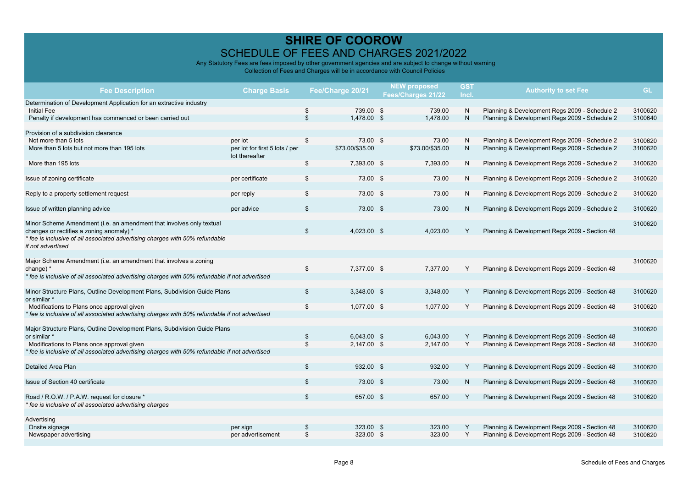| <b>Fee Description</b>                                                                                                                                | <b>Charge Basis</b>                              |                      | Fee/Charge 20/21         | <b>NEW proposed</b><br>Fees/Charges 21/22 | <b>GST</b><br>Incl. | <b>Authority to set Fee</b>                                                                    | <b>GL</b>          |
|-------------------------------------------------------------------------------------------------------------------------------------------------------|--------------------------------------------------|----------------------|--------------------------|-------------------------------------------|---------------------|------------------------------------------------------------------------------------------------|--------------------|
| Determination of Development Application for an extractive industry<br><b>Initial Fee</b><br>Penalty if development has commenced or been carried out |                                                  | \$<br>$\mathfrak{S}$ | 739.00 \$<br>1,478.00 \$ | 739.00<br>1,478.00                        | N<br>N              | Planning & Development Regs 2009 - Schedule 2<br>Planning & Development Regs 2009 - Schedule 2 | 3100620<br>3100640 |
| Provision of a subdivision clearance                                                                                                                  |                                                  |                      |                          |                                           |                     |                                                                                                |                    |
| Not more than 5 lots                                                                                                                                  | per lot                                          | \$                   | 73.00 \$                 | 73.00                                     | N                   | Planning & Development Regs 2009 - Schedule 2                                                  | 3100620            |
| More than 5 lots but not more than 195 lots                                                                                                           | per lot for first 5 lots / per<br>lot thereafter |                      | \$73.00/\$35.00          | \$73.00/\$35.00                           | N                   | Planning & Development Regs 2009 - Schedule 2                                                  | 3100620            |
| More than 195 lots                                                                                                                                    |                                                  | \$                   | 7,393.00 \$              | 7,393.00                                  | N                   | Planning & Development Regs 2009 - Schedule 2                                                  | 3100620            |
| Issue of zoning certificate                                                                                                                           | per certificate                                  | \$                   | 73.00 \$                 | 73.00                                     | N                   | Planning & Development Regs 2009 - Schedule 2                                                  | 3100620            |
| Reply to a property settlement request                                                                                                                | per reply                                        | \$                   | 73.00 \$                 | 73.00                                     | N                   | Planning & Development Regs 2009 - Schedule 2                                                  | 3100620            |
| Issue of written planning advice                                                                                                                      | per advice                                       | $\mathfrak{S}$       | 73.00 \$                 | 73.00                                     | N                   | Planning & Development Regs 2009 - Schedule 2                                                  | 3100620            |
| Minor Scheme Amendment (i.e. an amendment that involves only textual<br>changes or rectifies a zoning anomaly) *                                      |                                                  | $\mathfrak{S}$       | 4,023.00 \$              | 4,023.00                                  | Y                   | Planning & Development Regs 2009 - Section 48                                                  | 3100620            |
| * fee is inclusive of all associated advertising charges with 50% refundable<br>if not advertised                                                     |                                                  |                      |                          |                                           |                     |                                                                                                |                    |
| Major Scheme Amendment (i.e. an amendment that involves a zoning<br>change) *                                                                         |                                                  | \$                   | 7,377.00 \$              | 7,377.00                                  | Υ                   | Planning & Development Regs 2009 - Section 48                                                  | 3100620            |
| * fee is inclusive of all associated advertising charges with 50% refundable if not advertised                                                        |                                                  |                      |                          |                                           |                     |                                                                                                |                    |
| Minor Structure Plans, Outline Development Plans, Subdivision Guide Plans<br>or similar *                                                             |                                                  | \$                   | 3,348.00 \$              | 3,348.00                                  | Y                   | Planning & Development Regs 2009 - Section 48                                                  | 3100620            |
| Modifications to Plans once approval given                                                                                                            |                                                  | \$                   | 1,077.00 \$              | 1,077.00                                  | Y                   | Planning & Development Regs 2009 - Section 48                                                  | 3100620            |
| * fee is inclusive of all associated advertising charges with 50% refundable if not advertised                                                        |                                                  |                      |                          |                                           |                     |                                                                                                |                    |
| Major Structure Plans, Outline Development Plans, Subdivision Guide Plans                                                                             |                                                  |                      |                          |                                           |                     |                                                                                                | 3100620            |
| or similar *                                                                                                                                          |                                                  | \$<br>\$             | 6,043.00 \$              | 6,043.00                                  | Υ<br>Y              | Planning & Development Regs 2009 - Section 48                                                  |                    |
| Modifications to Plans once approval given<br>* fee is inclusive of all associated advertising charges with 50% refundable if not advertised          |                                                  |                      | $2.147.00$ \$            | 2.147.00                                  |                     | Planning & Development Regs 2009 - Section 48                                                  | 3100620            |
| <b>Detailed Area Plan</b>                                                                                                                             |                                                  | \$                   | 932.00 \$                | 932.00                                    | Y                   | Planning & Development Regs 2009 - Section 48                                                  | 3100620            |
|                                                                                                                                                       |                                                  |                      |                          |                                           |                     |                                                                                                |                    |
| Issue of Section 40 certificate                                                                                                                       |                                                  | \$                   | 73.00 \$                 | 73.00                                     | N                   | Planning & Development Regs 2009 - Section 48                                                  | 3100620            |
| Road / R.O.W. / P.A.W. request for closure *<br>* fee is inclusive of all associated advertising charges                                              |                                                  | \$                   | 657.00 \$                | 657.00                                    | Y                   | Planning & Development Regs 2009 - Section 48                                                  | 3100620            |
|                                                                                                                                                       |                                                  |                      |                          |                                           |                     |                                                                                                |                    |
| Advertising                                                                                                                                           |                                                  |                      |                          |                                           |                     |                                                                                                |                    |
| Onsite signage                                                                                                                                        | per sign                                         | \$                   | 323.00 \$                | 323.00                                    | Y                   | Planning & Development Regs 2009 - Section 48                                                  | 3100620            |
| Newspaper advertising                                                                                                                                 | per advertisement                                | \$                   | 323.00 \$                | 323.00                                    | Y                   | Planning & Development Regs 2009 - Section 48                                                  | 3100620            |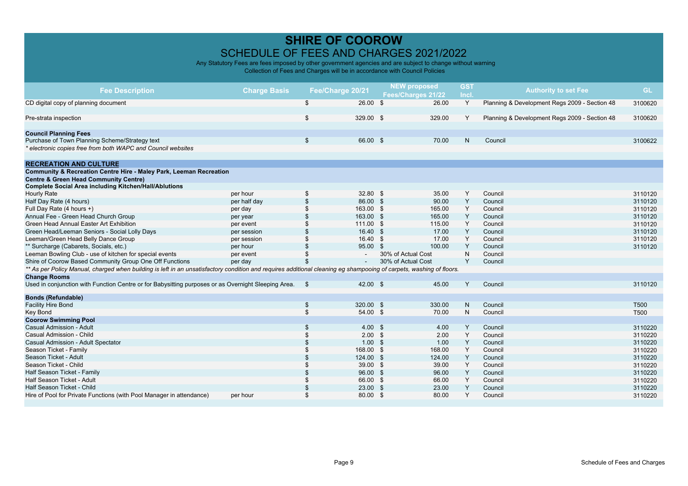| <b>Fee Description</b>                                                                                                                                              | <b>Charge Basis</b> | Fee/Charge 20/21 |            | <b>NEW proposed</b><br>Fees/Charges 21/22 |        | <b>GST</b><br>Incl. | <b>Authority to set Fee</b>                   | <b>GL</b>        |
|---------------------------------------------------------------------------------------------------------------------------------------------------------------------|---------------------|------------------|------------|-------------------------------------------|--------|---------------------|-----------------------------------------------|------------------|
| CD digital copy of planning document                                                                                                                                |                     | \$               | 26.00 S    |                                           | 26.00  | Y                   | Planning & Development Regs 2009 - Section 48 | 3100620          |
|                                                                                                                                                                     |                     |                  |            |                                           |        |                     |                                               |                  |
| Pre-strata inspection                                                                                                                                               |                     | \$               | 329.00 \$  |                                           | 329.00 | Y                   | Planning & Development Regs 2009 - Section 48 | 3100620          |
| <b>Council Planning Fees</b>                                                                                                                                        |                     |                  |            |                                           |        |                     |                                               |                  |
| Purchase of Town Planning Scheme/Strategy text                                                                                                                      |                     | \$               | 66.00 \$   |                                           | 70.00  | N.                  | Council                                       | 3100622          |
| * electronic copies free from both WAPC and Council websites                                                                                                        |                     |                  |            |                                           |        |                     |                                               |                  |
| <b>RECREATION AND CULTURE</b>                                                                                                                                       |                     |                  |            |                                           |        |                     |                                               |                  |
| Community & Recreation Centre Hire - Maley Park, Leeman Recreation                                                                                                  |                     |                  |            |                                           |        |                     |                                               |                  |
| <b>Centre &amp; Green Head Community Centre)</b>                                                                                                                    |                     |                  |            |                                           |        |                     |                                               |                  |
| <b>Complete Social Area including Kitchen/Hall/Ablutions</b>                                                                                                        |                     |                  |            |                                           |        |                     |                                               |                  |
| <b>Hourly Rate</b>                                                                                                                                                  | per hour            | \$               | $32.80$ \$ |                                           | 35.00  | Y                   | Council                                       | 3110120          |
| Half Day Rate (4 hours)                                                                                                                                             | per half day        | $\mathfrak{L}$   | 86.00 \$   |                                           | 90.00  | Y                   | Council                                       | 3110120          |
| Full Day Rate (4 hours +)                                                                                                                                           | per day             |                  | 163.00 \$  |                                           | 165.00 | Υ                   | Council                                       | 3110120          |
| Annual Fee - Green Head Church Group                                                                                                                                | per year            |                  | 163.00 \$  |                                           | 165.00 | Y                   | Council                                       | 3110120          |
| Green Head Annual Easter Art Exhibition                                                                                                                             | per event           |                  | 111.00 \$  |                                           | 115.00 | Y                   | Council                                       | 3110120          |
| Green Head/Leeman Seniors - Social Lolly Days                                                                                                                       | per session         |                  | 16.40 \$   |                                           | 17.00  | Y                   | Council                                       | 3110120          |
| Leeman/Green Head Belly Dance Group                                                                                                                                 | per session         | \$.              | 16.40 S    |                                           | 17.00  | Y                   | Council                                       | 3110120          |
| ** Surcharge (Cabarets, Socials, etc.)                                                                                                                              | per hour            |                  | 95.00 \$   |                                           | 100.00 | Y                   | Council                                       | 3110120          |
| Leeman Bowling Club - use of kitchen for special events                                                                                                             | per event           |                  |            | 30% of Actual Cost                        |        | N                   | Council                                       |                  |
| Shire of Coorow Based Community Group One Off Functions                                                                                                             | per day             |                  | $\sim$     | 30% of Actual Cost                        |        | Y                   | Council                                       |                  |
| ** As per Policy Manual, charged when building is left in an unsatisfactory condition and requires additional cleaning eg shampooing of carpets, washing of floors. |                     |                  |            |                                           |        |                     |                                               |                  |
| <b>Change Rooms</b>                                                                                                                                                 |                     |                  |            |                                           |        |                     |                                               |                  |
| Used in conjunction with Function Centre or for Babysitting purposes or as Overnight Sleeping Area. \$                                                              |                     |                  | 42.00 \$   |                                           | 45.00  | Y                   | Council                                       | 3110120          |
| <b>Bonds (Refundable)</b>                                                                                                                                           |                     |                  |            |                                           |        |                     |                                               |                  |
| <b>Facility Hire Bond</b>                                                                                                                                           |                     | \$               | 320.00 \$  |                                           | 330.00 | N                   | Council                                       | T <sub>500</sub> |
| <b>Key Bond</b>                                                                                                                                                     |                     | \$               | 54.00 \$   |                                           | 70.00  | N                   | Council                                       | T500             |
| <b>Coorow Swimming Pool</b>                                                                                                                                         |                     |                  |            |                                           |        |                     |                                               |                  |
| Casual Admission - Adult                                                                                                                                            |                     | \$               | 4.00 S     |                                           | 4.00   | Y                   | Council                                       | 3110220          |
| Casual Admission - Child                                                                                                                                            |                     |                  | $2.00$ \$  |                                           | 2.00   | Y                   | Council                                       | 3110220          |
| Casual Admission - Adult Spectator                                                                                                                                  |                     |                  | $1.00$ \$  |                                           | 1.00   | Y                   | Council                                       | 3110220          |
| Season Ticket - Family                                                                                                                                              |                     |                  | 168.00 \$  |                                           | 168.00 | Y                   | Council                                       | 3110220          |
| Season Ticket - Adult                                                                                                                                               |                     |                  | 124.00 \$  |                                           | 124.00 | Y                   | Council                                       | 3110220          |
| Season Ticket - Child                                                                                                                                               |                     |                  | 39.00 \$   |                                           | 39.00  | Y                   | Council                                       | 3110220          |
| Half Season Ticket - Family                                                                                                                                         |                     |                  | 96.00 \$   |                                           | 96.00  | Y                   | Council                                       | 3110220          |
| Half Season Ticket - Adult                                                                                                                                          |                     |                  | 66.00 \$   |                                           | 66.00  | Υ                   | Council                                       | 3110220          |
| Half Season Ticket - Child                                                                                                                                          |                     |                  | 23.00      | \$                                        | 23.00  | Y                   | Council                                       | 3110220          |
| Hire of Pool for Private Functions (with Pool Manager in attendance)                                                                                                | per hour            |                  | 80.00 \$   |                                           | 80.00  | Y                   | Council                                       | 3110220          |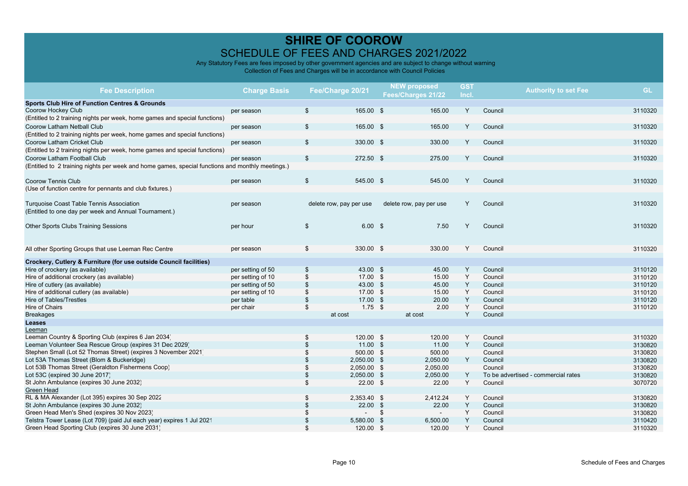| <b>Fee Description</b>                                                                           | <b>Charge Basis</b>                    | Fee/Charge 20/21        |               |      | <b>NEW proposed</b>     | <b>GST</b> | <b>Authority to set Fee</b>         | <b>GL</b>          |
|--------------------------------------------------------------------------------------------------|----------------------------------------|-------------------------|---------------|------|-------------------------|------------|-------------------------------------|--------------------|
|                                                                                                  |                                        |                         |               |      | Fees/Charges 21/22      | Incl.      |                                     |                    |
| <b>Sports Club Hire of Function Centres &amp; Grounds</b>                                        |                                        |                         |               |      |                         |            |                                     |                    |
| Coorow Hockey Club                                                                               | per season                             | \$                      | 165.00 \$     |      | 165.00                  | Y          | Council                             | 3110320            |
| (Entitled to 2 training nights per week, home games and special functions)                       |                                        |                         |               |      |                         |            |                                     |                    |
| Coorow Latham Netball Club                                                                       | per season                             | \$                      | 165.00 \$     |      | 165.00                  | Y          | Council                             | 3110320            |
| (Entitled to 2 training nights per week, home games and special functions)                       |                                        |                         |               |      |                         |            |                                     |                    |
| Coorow Latham Cricket Club                                                                       | per season                             | \$                      | 330.00 \$     |      | 330.00                  | Y          | Council                             | 3110320            |
| (Entitled to 2 training nights per week, home games and special functions)                       |                                        |                         |               |      |                         |            |                                     |                    |
| Coorow Latham Football Club                                                                      | per season                             | \$                      | 272.50 \$     |      | 275.00                  | Y          | Council                             | 3110320            |
| (Entitled to 2 training nights per week and home games, special functions and monthly meetings.) |                                        |                         |               |      |                         |            |                                     |                    |
|                                                                                                  |                                        |                         |               |      |                         |            |                                     |                    |
| <b>Coorow Tennis Club</b>                                                                        | per season                             | \$                      | 545.00 \$     |      | 545.00                  | Y          | Council                             | 3110320            |
| (Use of function centre for pennants and club fixtures.)                                         |                                        |                         |               |      |                         |            |                                     |                    |
|                                                                                                  |                                        |                         |               |      |                         |            |                                     |                    |
| Turquoise Coast Table Tennis Association                                                         | per season                             | delete row, pay per use |               |      | delete row, pay per use | Y          | Council                             | 3110320            |
| (Entitled to one day per week and Annual Tournament.)                                            |                                        |                         |               |      |                         |            |                                     |                    |
|                                                                                                  |                                        |                         |               |      |                         |            |                                     |                    |
| Other Sports Clubs Training Sessions                                                             | per hour                               | \$                      | 6.00 S        |      | 7.50                    | Y          | Council                             | 3110320            |
|                                                                                                  |                                        |                         |               |      |                         |            |                                     |                    |
|                                                                                                  |                                        |                         |               |      |                         |            |                                     |                    |
| All other Sporting Groups that use Leeman Rec Centre                                             | per season                             | \$                      | 330.00 \$     |      | 330.00                  | Y          | Council                             | 3110320            |
|                                                                                                  |                                        |                         |               |      |                         |            |                                     |                    |
| Crockery, Cutlery & Furniture (for use outside Council facilities)                               |                                        |                         | 43.00 \$      |      | 45.00                   |            | Council                             |                    |
| Hire of crockery (as available)                                                                  | per setting of 50                      | \$                      | 17.00 \$      |      | 15.00                   | Y<br>Y     | Council                             | 3110120            |
| Hire of additional crockery (as available)                                                       | per setting of 10                      | \$<br>\$                | 43.00 \$      |      | 45.00                   | Y          | Council                             | 3110120<br>3110120 |
| Hire of cutlery (as available)<br>Hire of additional cutlery (as available)                      | per setting of 50<br>per setting of 10 |                         | 17.00 \$      |      | 15.00                   | Υ          | Council                             |                    |
| <b>Hire of Tables/Trestles</b>                                                                   | per table                              | \$<br>\$                | 17.00 \$      |      | 20.00                   | Y          | Council                             | 3110120<br>3110120 |
| Hire of Chairs                                                                                   |                                        | \$                      | $1.75$ \$     |      | 2.00                    | Υ          | Council                             | 3110120            |
| <b>Breakages</b>                                                                                 | per chair                              | at cost                 |               |      | at cost                 | Y          | Council                             |                    |
| Leases                                                                                           |                                        |                         |               |      |                         |            |                                     |                    |
| Leeman                                                                                           |                                        |                         |               |      |                         |            |                                     |                    |
| Leeman Country & Sporting Club (expires 6 Jan 2034                                               |                                        | \$                      | 120.00 \$     |      | 120.00                  | Y          | Council                             | 3110320            |
| Leeman Volunteer Sea Rescue Group (expires 31 Dec 2029)                                          |                                        |                         | $11.00$ \$    |      | 11.00                   | Y          | Council                             | 3130820            |
| Stephen Small (Lot 52 Thomas Street) (expires 3 November 2021)                                   |                                        | \$                      | 500.00 \$     |      | 500.00                  |            | Council                             | 3130820            |
| Lot 53A Thomas Street (Blom & Buckeridge)                                                        |                                        |                         | 2,050.00 \$   |      | 2,050.00                | Y          | Council                             | 3130820            |
| Lot 53B Thomas Street (Geraldton Fishermens Coop)                                                |                                        | \$                      | $2,050.00$ \$ |      | 2.050.00                |            | Council                             | 3130820            |
| Lot 53C (expired 30 June 2017)                                                                   |                                        | \$                      | $2,050.00$ \$ |      | 2,050.00                | Y          | To be advertised - commercial rates | 3130820            |
| St John Ambulance (expires 30 June 2032)                                                         |                                        | \$                      | $22.00$ \$    |      | 22.00                   | Y          | Council                             | 3070720            |
| Green Head                                                                                       |                                        |                         |               |      |                         |            |                                     |                    |
| RL & MA Alexander (Lot 395) expires 30 Sep 2022                                                  |                                        | \$                      | 2,353.40 \$   |      | 2,412.24                | Y          | Council                             | 3130820            |
| St John Ambulance (expires 30 June 2032)                                                         |                                        | \$                      | $22.00$ \$    |      | 22.00                   | Υ          | Council                             | 3130820            |
| Green Head Men's Shed (expires 30 Nov 2023)                                                      |                                        |                         |               | \$   | $\sim$                  | Y          | Council                             | 3130820            |
| Telstra Tower Lease (Lot 709) (paid Jul each year) expires 1 Jul 2021                            |                                        | \$                      | 5,580.00      | - \$ | 6,500.00                | Y          | Council                             | 3110420            |
| Green Head Sporting Club (expires 30 June 2031)                                                  |                                        | \$                      | 120.00 \$     |      | 120.00                  | Y          | Council                             | 3110320            |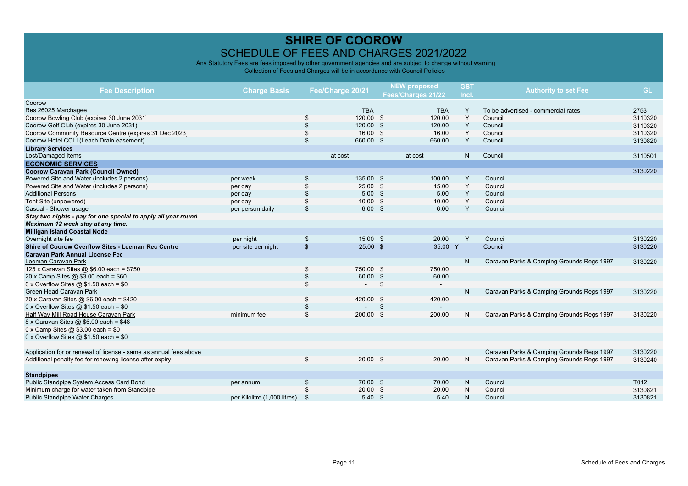|                                                                   |                              |                           |                  |              | <b>NEW proposed</b> | <b>GST</b> |                                           |           |
|-------------------------------------------------------------------|------------------------------|---------------------------|------------------|--------------|---------------------|------------|-------------------------------------------|-----------|
| <b>Fee Description</b>                                            | <b>Charge Basis</b>          |                           | Fee/Charge 20/21 |              | Fees/Charges 21/22  | Incl.      | <b>Authority to set Fee</b>               | <b>GL</b> |
| Coorow                                                            |                              |                           |                  |              |                     |            |                                           |           |
| Res 26025 Marchagee                                               |                              |                           | <b>TBA</b>       |              | <b>TBA</b>          | Y          | To be advertised - commercial rates       | 2753      |
| Coorow Bowling Club (expires 30 June 2031)                        |                              | \$                        | 120.00 \$        |              | 120.00              | Y          | Council                                   | 3110320   |
| Coorow Golf Club (expires 30 June 2031)                           |                              | $\mathfrak{s}$            | 120.00           | - \$         | 120.00              | Y          | Council                                   | 3110320   |
| Coorow Community Resource Centre (expires 31 Dec 2023)            |                              | \$                        | 16.00 S          |              | 16.00               | Y          | Council                                   | 3110320   |
| Coorow Hotel CCLI (Leach Drain easement)                          |                              | $\mathfrak{s}$            | 660.00 \$        |              | 660.00              | Y          | Council                                   | 3130820   |
| <b>Library Services</b>                                           |                              |                           |                  |              |                     |            |                                           |           |
| Lost/Damaged Items                                                |                              |                           | at cost          |              | at cost             | N.         | Council                                   | 3110501   |
| <b>ECONOMIC SERVICES</b>                                          |                              |                           |                  |              |                     |            |                                           |           |
| <b>Coorow Caravan Park (Council Owned)</b>                        |                              |                           |                  |              |                     |            |                                           | 3130220   |
| Powered Site and Water (includes 2 persons)                       | per week                     | \$                        | 135.00 \$        |              | 100.00              | Y          | Council                                   |           |
| Powered Site and Water (includes 2 persons)                       | per day                      | <sup>\$</sup>             | $25.00$ \$       |              | 15.00               | Y          | Council                                   |           |
| <b>Additional Persons</b>                                         | per day                      | $\mathbf{s}$              | $5.00$ \$        |              | 5.00                | Y          | Council                                   |           |
| Tent Site (unpowered)                                             | per day                      | \$                        | $10.00$ \$       |              | 10.00               | Y          | Council                                   |           |
| Casual - Shower usage                                             | per person daily             | $\mathfrak{s}$            | $6.00$ \$        |              | 6.00                | Y          | Council                                   |           |
| Stay two nights - pay for one special to apply all year round     |                              |                           |                  |              |                     |            |                                           |           |
| Maximum 12 week stay at any time.                                 |                              |                           |                  |              |                     |            |                                           |           |
| <b>Milligan Island Coastal Node</b>                               |                              |                           |                  |              |                     |            |                                           |           |
| Overnight site fee                                                | per night                    | \$                        | 15.00 \$         |              | 20.00               | Y          | Council                                   | 3130220   |
| Shire of Coorow Overflow Sites - Leeman Rec Centre                | per site per night           | $\boldsymbol{\mathsf{s}}$ | $25.00$ \$       |              | 35.00 Y             |            | Council                                   | 3130220   |
| <b>Caravan Park Annual License Fee</b>                            |                              |                           |                  |              |                     |            |                                           |           |
| Leeman Caravan Park                                               |                              |                           |                  |              |                     | N          | Caravan Parks & Camping Grounds Regs 1997 | 3130220   |
| 125 x Caravan Sites @ \$6.00 each = \$750                         |                              | \$                        | 750.00 \$        |              | 750.00              |            |                                           |           |
| 20 x Camp Sites @ $$3.00$ each = $$60$                            |                              | $\mathfrak{s}$            | 60.00 \$         |              | 60.00               |            |                                           |           |
| 0 x Overflow Sites $@$ \$1.50 each = \$0                          |                              | \$                        |                  | \$           | $\sim$              |            |                                           |           |
| Green Head Caravan Park                                           |                              |                           |                  |              |                     | N          | Caravan Parks & Camping Grounds Regs 1997 | 3130220   |
| 70 x Caravan Sites @ \$6.00 each = \$420                          |                              | \$                        | 420.00 \$        |              | 420.00              |            |                                           |           |
| 0 x Overflow Sites $@$ \$1.50 each = \$0                          |                              | $\frac{3}{2}$             |                  | $\mathbb{S}$ |                     |            |                                           |           |
| Half Way Mill Road House Caravan Park                             | minimum fee                  | \$                        | 200.00 \$        |              | 200.00              | N          | Caravan Parks & Camping Grounds Regs 1997 | 3130220   |
| 8 x Caravan Sites @ \$6.00 each = \$48                            |                              |                           |                  |              |                     |            |                                           |           |
| 0 x Camp Sites @ $$3.00$ each = $$0$                              |                              |                           |                  |              |                     |            |                                           |           |
| 0 x Overflow Sites $@$ \$1.50 each = \$0                          |                              |                           |                  |              |                     |            |                                           |           |
|                                                                   |                              |                           |                  |              |                     |            |                                           |           |
| Application for or renewal of license - same as annual fees above |                              |                           |                  |              |                     |            | Caravan Parks & Camping Grounds Regs 1997 | 3130220   |
| Additional penalty fee for renewing license after expiry          |                              | \$                        | $20.00$ \$       |              | 20.00               | N          | Caravan Parks & Camping Grounds Regs 1997 | 3130240   |
| <b>Standpipes</b>                                                 |                              |                           |                  |              |                     |            |                                           |           |
| Public Standpipe System Access Card Bond                          | per annum                    | $\mathfrak{s}$            | 70.00 \$         |              | 70.00               | N          | Council                                   | T012      |
| Minimum charge for water taken from Standpipe                     |                              | \$                        | $20.00$ \$       |              | 20.00               | N          | Council                                   | 3130821   |
| Public Standpipe Water Charges                                    | per Kilolitre (1,000 litres) | <sup>\$</sup>             | $5.40$ \$        |              | 5.40                | N          | Council                                   | 3130821   |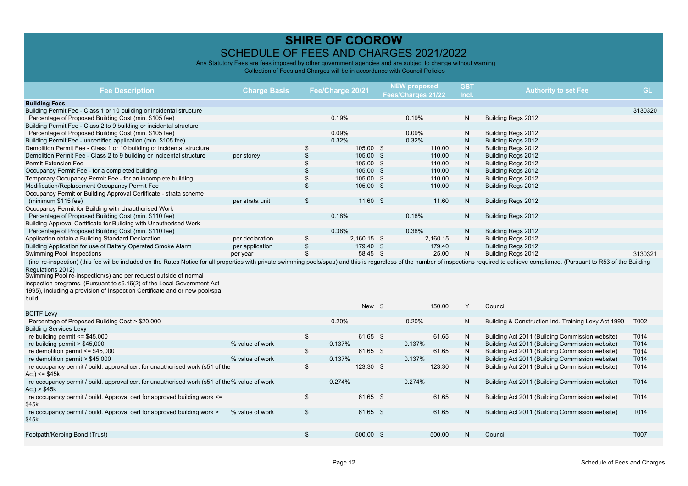| <b>Fee Description</b>                                                                                                                                                                                                                                      | <b>Charge Basis</b> |                | Fee/Charge 20/21 | <b>NEW proposed</b><br>Fees/Charges 21/22 | <b>GST</b><br>Incl. | <b>Authority to set Fee</b>                         | <b>GL</b> |
|-------------------------------------------------------------------------------------------------------------------------------------------------------------------------------------------------------------------------------------------------------------|---------------------|----------------|------------------|-------------------------------------------|---------------------|-----------------------------------------------------|-----------|
| <b>Building Fees</b>                                                                                                                                                                                                                                        |                     |                |                  |                                           |                     |                                                     |           |
| Building Permit Fee - Class 1 or 10 building or incidental structure                                                                                                                                                                                        |                     |                |                  |                                           |                     |                                                     | 3130320   |
| Percentage of Proposed Building Cost (min. \$105 fee)                                                                                                                                                                                                       |                     |                | 0.19%            | 0.19%                                     | N                   | Building Regs 2012                                  |           |
| Building Permit Fee - Class 2 to 9 building or incidental structure                                                                                                                                                                                         |                     |                |                  |                                           |                     |                                                     |           |
| Percentage of Proposed Building Cost (min. \$105 fee)                                                                                                                                                                                                       |                     |                | 0.09%            | 0.09%                                     | N                   | Building Regs 2012                                  |           |
| Building Permit Fee - uncertified application (min. \$105 fee)                                                                                                                                                                                              |                     |                | 0.32%            | 0.32%                                     | N.                  | Building Regs 2012                                  |           |
| Demolition Permit Fee - Class 1 or 10 building or incidental structure                                                                                                                                                                                      |                     | \$             | 105.00 \$        | 110.00                                    | N                   | Building Regs 2012                                  |           |
| Demolition Permit Fee - Class 2 to 9 building or incidental structure                                                                                                                                                                                       | per storey          | \$             | 105.00 \$        | 110.00                                    | N                   | Building Regs 2012                                  |           |
| <b>Permit Extension Fee</b>                                                                                                                                                                                                                                 |                     | \$             | 105.00 \$        | 110.00                                    | N                   | Building Regs 2012                                  |           |
| Occupancy Permit Fee - for a completed building                                                                                                                                                                                                             |                     | \$             | 105.00 \$        | 110.00                                    | N.                  | Building Regs 2012                                  |           |
| Temporary Occupancy Permit Fee - for an incomplete building                                                                                                                                                                                                 |                     | \$             | 105.00 \$        | 110.00                                    | N                   | Building Regs 2012                                  |           |
| Modification/Replacement Occupancy Permit Fee                                                                                                                                                                                                               |                     | \$             | 105.00 \$        | 110.00                                    | N.                  | Building Regs 2012                                  |           |
| Occupancy Permit or Building Approval Certificate - strata scheme                                                                                                                                                                                           |                     |                |                  |                                           |                     |                                                     |           |
| (minimum \$115 fee)                                                                                                                                                                                                                                         | per strata unit     | \$             | $11.60$ \$       | 11.60                                     | N                   | Building Regs 2012                                  |           |
| Occupancy Permit for Building with Unauthorised Work                                                                                                                                                                                                        |                     |                |                  |                                           |                     |                                                     |           |
| Percentage of Proposed Building Cost (min. \$110 fee)                                                                                                                                                                                                       |                     |                | 0.18%            | 0.18%                                     | N                   |                                                     |           |
| Building Approval Certificate for Building with Unauthorised Work                                                                                                                                                                                           |                     |                |                  |                                           |                     | Building Regs 2012                                  |           |
| Percentage of Proposed Building Cost (min. \$110 fee)                                                                                                                                                                                                       |                     |                |                  | 0.38%                                     | N                   |                                                     |           |
|                                                                                                                                                                                                                                                             |                     |                | 0.38%            |                                           |                     | Building Regs 2012                                  |           |
| Application obtain a Building Standard Declaration                                                                                                                                                                                                          | per declaration     | \$             | 2,160.15 \$      | 2,160.15                                  | N                   | Building Regs 2012                                  |           |
| Building Application for use of Battery Operated Smoke Alarm                                                                                                                                                                                                | per application     | \$<br>\$       | 179.40 \$        | 179.40<br>25.00                           |                     | Building Regs 2012                                  |           |
| Swimming Pool Inspections<br>(incl re-inspection) (this fee wil be included on the Rates Notice for all properties with private swimming pools/spas) and this is regardless of the number of inspections required to achieve compliance. (Pursuant to R53 o | per year            |                | 58.45 \$         |                                           | N                   | Building Regs 2012                                  | 3130321   |
| Regulations 2012)<br>Swimming Pool re-inspection(s) and per request outside of normal<br>inspection programs. (Pursuant to s6.16(2) of the Local Government Act<br>1995), including a provision of Inspection Certificate and or new pool/spa               |                     |                |                  |                                           |                     |                                                     |           |
| build.                                                                                                                                                                                                                                                      |                     |                | New \$           | 150.00                                    | Y                   | Council                                             |           |
| <b>BCITF Levy</b>                                                                                                                                                                                                                                           |                     |                |                  |                                           |                     |                                                     |           |
| Percentage of Proposed Building Cost > \$20,000                                                                                                                                                                                                             |                     |                | 0.20%            | 0.20%                                     | N                   | Building & Construction Ind. Training Levy Act 1990 | T002      |
| <b>Building Services Levy</b>                                                                                                                                                                                                                               |                     |                |                  |                                           |                     |                                                     |           |
| re building permit $\le$ \$45,000                                                                                                                                                                                                                           |                     | \$             | 61.65 \$         | 61.65                                     | N                   | Building Act 2011 (Building Commission website)     | T014      |
| re building permit $> $45,000$                                                                                                                                                                                                                              | % value of work     |                | 0.137%           | 0.137%                                    | N                   | Building Act 2011 (Building Commission website)     | T014      |
| re demolition permit $\le$ \$45,000                                                                                                                                                                                                                         |                     | \$             | 61.65 \$         | 61.65                                     | N                   | Building Act 2011 (Building Commission website)     | T014      |
| re demolition permit > \$45,000                                                                                                                                                                                                                             | % value of work     |                | 0.137%           | 0.137%                                    | N                   | Building Act 2011 (Building Commission website)     | T014      |
| re occupancy permit / build. approval cert for unauthorised work (s51 of the<br>Act) <= $$45k$                                                                                                                                                              |                     | \$             | 123.30 \$        | 123.30                                    | N                   | Building Act 2011 (Building Commission website)     | T014      |
| re occupancy permit / build. approval cert for unauthorised work (s51 of the % value of work<br>Act) > \$45k                                                                                                                                                |                     |                | 0.274%           | 0.274%                                    | N.                  | Building Act 2011 (Building Commission website)     | T014      |
| re occupancy permit / build. Approval cert for approved building work <=<br>\$45k                                                                                                                                                                           |                     | \$             | 61.65 \$         | 61.65                                     | N                   | Building Act 2011 (Building Commission website)     | T014      |
| re occupancy permit / build. Approval cert for approved building work ><br>\$45k                                                                                                                                                                            | % value of work     | $\mathfrak{S}$ | 61.65 \$         | 61.65                                     | N                   | Building Act 2011 (Building Commission website)     | T014      |
| Footpath/Kerbing Bond (Trust)                                                                                                                                                                                                                               |                     | \$             | 500.00 \$        | 500.00                                    | N.                  | Council                                             | T007      |
|                                                                                                                                                                                                                                                             |                     |                |                  |                                           |                     |                                                     |           |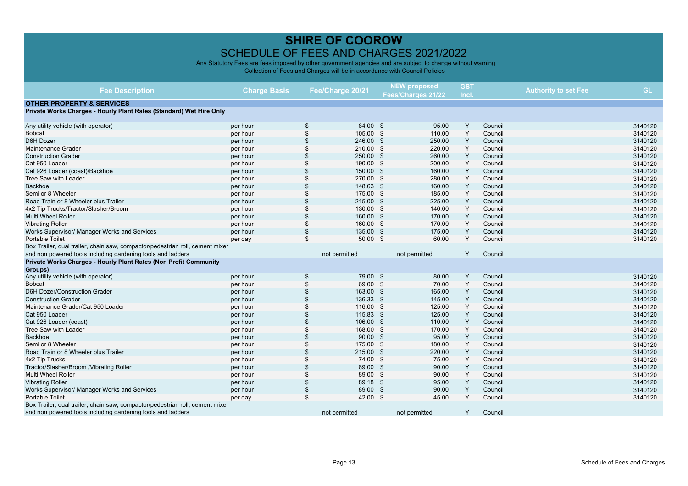|                                                                               |                     |                  |               | <b>NEW proposed</b><br>Fees/Charges 21/22 |               | <b>GST</b> |                             |  |           |
|-------------------------------------------------------------------------------|---------------------|------------------|---------------|-------------------------------------------|---------------|------------|-----------------------------|--|-----------|
| <b>Fee Description</b>                                                        | <b>Charge Basis</b> | Fee/Charge 20/21 |               |                                           |               | Incl.      | <b>Authority to set Fee</b> |  | <b>GL</b> |
| <b>OTHER PROPERTY &amp; SERVICES</b>                                          |                     |                  |               |                                           |               |            |                             |  |           |
| Private Works Charges - Hourly Plant Rates (Standard) Wet Hire Only           |                     |                  |               |                                           |               |            |                             |  |           |
|                                                                               |                     |                  |               |                                           |               |            |                             |  |           |
| Any utility vehicle (with operator)                                           | per hour            | \$               | 84.00 \$      |                                           | 95.00         | Y          | Council                     |  | 3140120   |
| <b>Bobcat</b>                                                                 | per hour            | \$               | 105.00 \$     |                                           | 110.00        | Y          | Council                     |  | 3140120   |
| D6H Dozer                                                                     | per hour            |                  | 246.00 \$     |                                           | 250.00        | Υ          | Council                     |  | 3140120   |
| Maintenance Grader                                                            | per hour            |                  | 210.00 \$     |                                           | 220.00        | Y          | Council                     |  | 3140120   |
| <b>Construction Grader</b>                                                    | per hour            |                  | 250.00 \$     |                                           | 260.00        | Y          | Council                     |  | 3140120   |
| Cat 950 Loader                                                                | per hour            |                  | 190.00 \$     |                                           | 200.00        | Y          | Council                     |  | 3140120   |
| Cat 926 Loader (coast)/Backhoe                                                | per hour            |                  | 150.00 \$     |                                           | 160.00        | Y          | Council                     |  | 3140120   |
| Tree Saw with Loader                                                          | per hour            |                  | 270.00 \$     |                                           | 280.00        | Y          | Council                     |  | 3140120   |
| <b>Backhoe</b>                                                                | per hour            |                  | 148.63 \$     |                                           | 160.00        | Υ          | Council                     |  | 3140120   |
| Semi or 8 Wheeler                                                             | per hour            |                  | 175.00 \$     |                                           | 185.00        | Y          | Council                     |  | 3140120   |
| Road Train or 8 Wheeler plus Trailer                                          | per hour            |                  | 215.00 \$     |                                           | 225.00        | Y          | Council                     |  | 3140120   |
| 4x2 Tip Trucks/Tractor/Slasher/Broom                                          | per hour            |                  | 130.00 \$     |                                           | 140.00        | Y          | Council                     |  | 3140120   |
| <b>Multi Wheel Roller</b>                                                     | per hour            |                  | 160.00 \$     |                                           | 170.00        | Y          | Council                     |  | 3140120   |
| <b>Vibrating Roller</b>                                                       | per hour            |                  | 160.00 \$     |                                           | 170.00        | Y          | Council                     |  | 3140120   |
| Works Supervisor/ Manager Works and Services                                  | per hour            | \$               | 135.00 \$     |                                           | 175.00        | Y          | Council                     |  | 3140120   |
| Portable Toilet                                                               | per day             | \$               | $50.00$ \$    |                                           | 60.00         | Y          | Council                     |  | 3140120   |
| Box Trailer, dual trailer, chain saw, compactor/pedestrian roll, cement mixer |                     |                  |               |                                           |               |            |                             |  |           |
| and non powered tools including gardening tools and ladders                   |                     |                  | not permitted |                                           | not permitted | Y          | Council                     |  |           |
| Private Works Charges - Hourly Plant Rates (Non Profit Community              |                     |                  |               |                                           |               |            |                             |  |           |
| Groups)                                                                       |                     |                  |               |                                           |               |            |                             |  |           |
| Any utility vehicle (with operator)                                           | per hour            | \$               | 79.00 \$      |                                           | 80.00         | Y          | Council                     |  | 3140120   |
| <b>Bobcat</b>                                                                 | per hour            | $\mathfrak{L}$   | 69.00 \$      |                                           | 70.00         | Υ          | Council                     |  | 3140120   |
| D6H Dozer/Construction Grader                                                 | per hour            |                  | 163.00 \$     |                                           | 165.00        | Y          | Council                     |  | 3140120   |
| <b>Construction Grader</b>                                                    | per hour            |                  | 136.33 \$     |                                           | 145.00        | Y          | Council                     |  | 3140120   |
| Maintenance Grader/Cat 950 Loader                                             | per hour            |                  | 116.00 \$     |                                           | 125.00        | Y          | Council                     |  | 3140120   |
| Cat 950 Loader                                                                | per hour            |                  | 115.83 \$     |                                           | 125.00        | Y          | Council                     |  | 3140120   |
| Cat 926 Loader (coast)                                                        | per hour            |                  | 106.00 \$     |                                           | 110.00        | Y          | Council                     |  | 3140120   |
| Tree Saw with Loader                                                          | per hour            |                  | 168.00 \$     |                                           | 170.00        | Y          | Council                     |  | 3140120   |
| <b>Backhoe</b>                                                                | per hour            |                  | $90.00$ \$    |                                           | 95.00         | Y          | Council                     |  | 3140120   |
| Semi or 8 Wheeler                                                             | per hour            |                  | 175.00 \$     |                                           | 180.00        | Y          | Council                     |  | 3140120   |
| Road Train or 8 Wheeler plus Trailer                                          | per hour            |                  | 215.00 \$     |                                           | 220.00        | Y          | Council                     |  | 3140120   |
| 4x2 Tip Trucks                                                                | per hour            |                  | 74.00 \$      |                                           | 75.00         | Υ          | Council                     |  | 3140120   |
| Tractor/Slasher/Broom /Vibrating Roller                                       | per hour            |                  | 89.00 \$      |                                           | 90.00         | Y          | Council                     |  | 3140120   |
| Multi Wheel Roller                                                            | per hour            |                  | 89.00 \$      |                                           | 90.00         | Y          | Council                     |  | 3140120   |
| <b>Vibrating Roller</b>                                                       | per hour            |                  | 89.18 \$      |                                           | 95.00         | Y          | Council                     |  | 3140120   |
| Works Supervisor/ Manager Works and Services                                  | per hour            | \$               | 89.00 \$      |                                           | 90.00         | Y          | Council                     |  | 3140120   |
| Portable Toilet                                                               | per day             | \$               | 42.00 \$      |                                           | 45.00         | Y          | Council                     |  | 3140120   |
| Box Trailer, dual trailer, chain saw, compactor/pedestrian roll, cement mixer |                     |                  |               |                                           |               |            |                             |  |           |
| and non powered tools including gardening tools and ladders                   |                     |                  | not permitted |                                           | not permitted | Y          | Council                     |  |           |